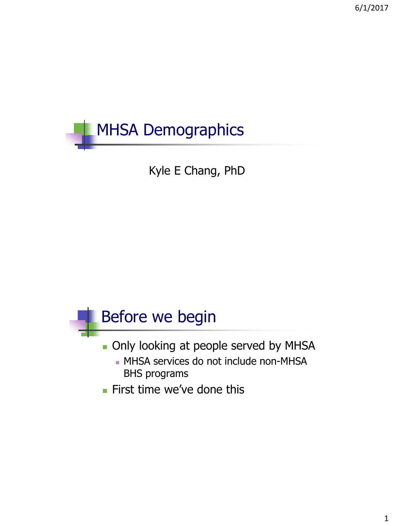

Kyle E Chang, PhD

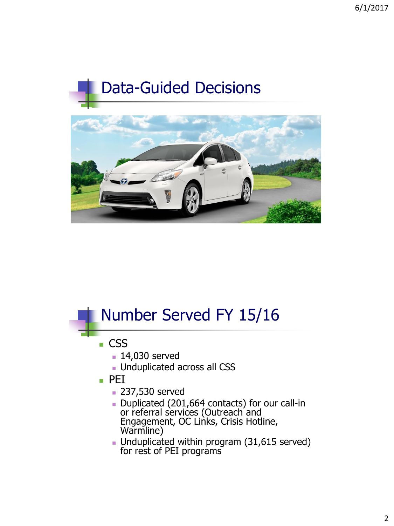# Data-Guided Decisions



#### Number Served FY 15/16 ■ CSS **14,030 served Unduplicated across all CSS**  $\blacksquare$  PEI **237,530 served** Duplicated (201,664 contacts) for our call-in or referral services (Outreach and Engagement, OC Links, Crisis Hotline, Warmline) Unduplicated within program (31,615 served) for rest of PEI programs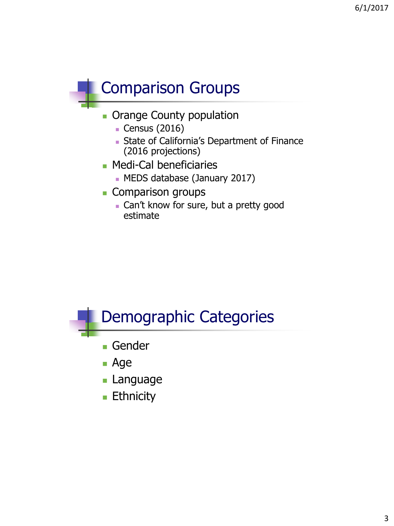## Comparison Groups

- **Orange County population** 
	- Census (2016)
	- **State of California's Department of Finance** (2016 projections)
- **Medi-Cal beneficiaries** 
	- MEDS database (January 2017)
- Comparison groups
	- **Can't know for sure, but a pretty good** estimate



**Ethnicity**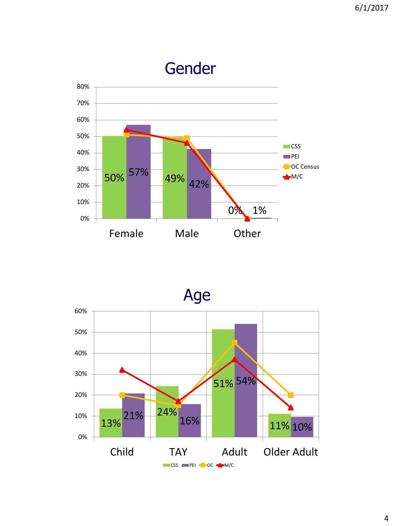



4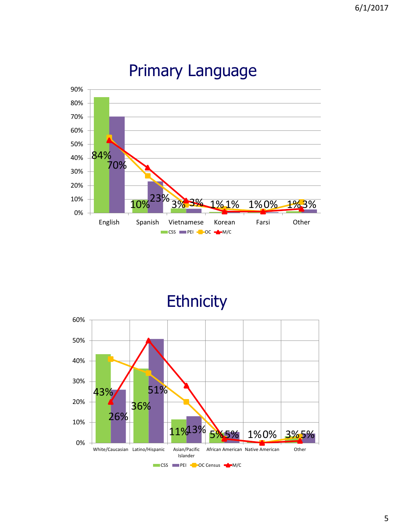

#### Primary Language

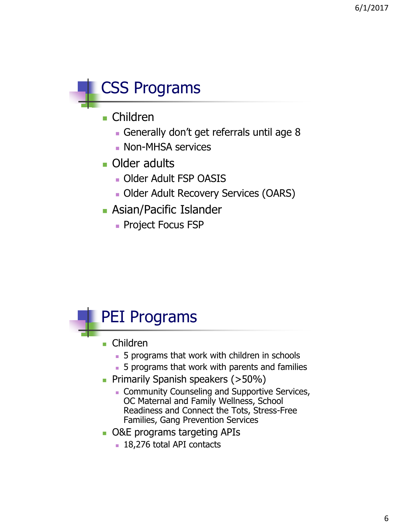

- Children
	- Generally don't get referrals until age 8
	- **Non-MHSA services**
- **Older adults** 
	- Older Adult FSP OASIS
	- Older Adult Recovery Services (OARS)
- **Asian/Pacific Islander** 
	- **Project Focus FSP**



- Children
	- **5** programs that work with children in schools
	- 5 programs that work with parents and families
- **Primarily Spanish speakers (>50%)** 
	- **Community Counseling and Supportive Services,** OC Maternal and Family Wellness, School Readiness and Connect the Tots, Stress-Free Families, Gang Prevention Services
- O&E programs targeting APIs
	- **18,276 total API contacts**